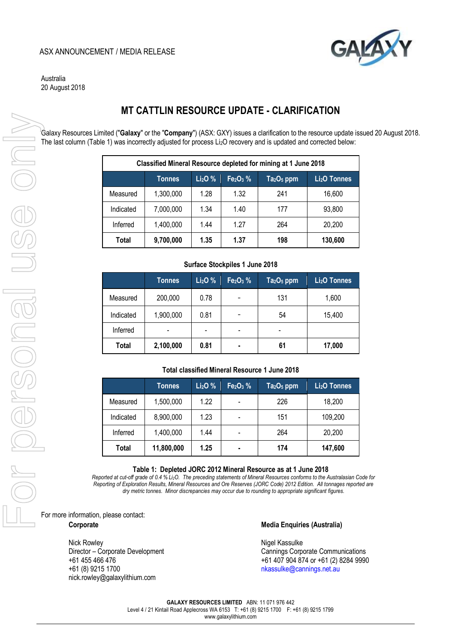# **AS** ASX ANNOUNCEMENT / MEDIA RELEASE



Australia 20 August 2018

# **MT CATTLIN RESOURCE UPDATE - CLARIFICATION**

Galaxy Resources Limited ("**Galaxy**" or the "**Company**") (ASX: GXY) issues a clarification to the resource update issued 20 August 2018. The last column (Table 1) was incorrectly adjusted for process Li<sub>2</sub>O recovery and is updated and corrected below:

| Classified Mineral Resource depleted for mining at 1 June 2018 |               |                                 |           |             |                          |  |  |  |
|----------------------------------------------------------------|---------------|---------------------------------|-----------|-------------|--------------------------|--|--|--|
|                                                                | <b>Tonnes</b> | Li <sub>2</sub> O <sub>96</sub> | $Fe2O3$ % | $Ta2O5$ ppm | Li <sub>2</sub> O Tonnes |  |  |  |
| Measured                                                       | 1,300,000     | 1.28                            | 1.32      | 241         | 16,600                   |  |  |  |
| Indicated                                                      | 7,000,000     | 1.34                            | 1.40      | 177         | 93,800                   |  |  |  |
| Inferred                                                       | 1,400,000     | 1.44                            | 1.27      | 264         | 20,200                   |  |  |  |
| Total                                                          | 9,700,000     | 1.35                            | 1.37      | 198         | 130,600                  |  |  |  |

#### **Surface Stockpiles 1 June 2018**

|              | <b>Tonnes</b> | Li <sub>2</sub> O <sub>%</sub> | Fe <sub>2</sub> O <sub>3</sub> % | $Ta2O5$ ppm | Li <sub>2</sub> O Tonnes |
|--------------|---------------|--------------------------------|----------------------------------|-------------|--------------------------|
| Measured     | 200,000       | 0.78                           |                                  | 131         | 1,600                    |
| Indicated    | 1,900,000     | 0.81                           |                                  | 54          | 15,400                   |
| Inferred     |               | $\overline{\phantom{0}}$       | -                                |             |                          |
| <b>Total</b> | 2,100,000     | 0.81                           | ٠                                | 61          | 17,000                   |

## **Total classified Mineral Resource 1 June 2018**

|           | <b>Tonnes</b> | Li <sub>2</sub> O <sub>%</sub> | Fe <sub>2</sub> O <sub>3</sub> % | $Ta2O5$ ppm | Li <sub>2</sub> O Tonnes |
|-----------|---------------|--------------------------------|----------------------------------|-------------|--------------------------|
| Measured  | 1,500,000     | 1.22                           |                                  | 226         | 18,200                   |
| Indicated | 8,900,000     | 1.23                           |                                  | 151         | 109,200                  |
| Inferred  | 1,400,000     | 1.44                           |                                  | 264         | 20,200                   |
| Total     | 11,800,000    | 1.25                           | ٠                                | 174         | 147,600                  |

**Table 1: Depleted JORC 2012 Mineral Resource as at 1 June 2018** 

*Reported at cut-off grade of 0.4 % Li2O. The preceding statements of Mineral Resources conforms to the Australasian Code for Reporting of Exploration Results, Mineral Resources and Ore Reserves (JORC Code) 2012 Edition. All tonnages reported are dry metric tonnes. Minor discrepancies may occur due to rounding to appropriate significant figures.* 

For more information, please contact:

Nick Rowley **Nigel Kassulke** [nick.rowley@galaxylithium.com](mailto:nick.rowley@galaxylithium.com) 

#### **Corporate Corporate Media Enquiries (Australia) Media Enquiries (Australia)**

Director – Corporate Development<br>
+61 455 466 476 <br>
+61 407 904 874 or +61 (2) 8284 999 +61 455 466 476<br>+61 407 904 874 or +61 (2) 8284 9990<br>https://www.bassulke@cannings.net.au nkassulke@cannings.net.au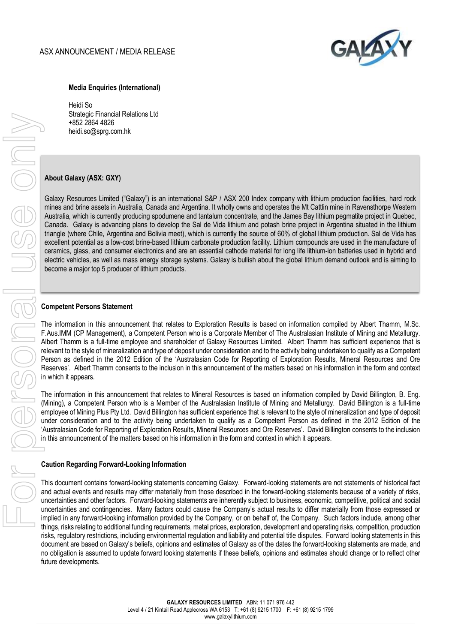

## **Media Enquiries (International)**

Heidi So Strategic Financial Relations Ltd +852 2864 4826 [heidi.so@sprg.com.hk](mailto:Heidi.so@sprg.com.hk) 

## **About Galaxy (ASX: GXY)**

Galaxy Resources Limited ("Galaxy") is an international S&P / ASX 200 Index company with lithium production facilities, hard rock mines and brine assets in Australia, Canada and Argentina. It wholly owns and operates the Mt Cattlin mine in Ravensthorpe Western Australia, which is currently producing spodumene and tantalum concentrate, and the James Bay lithium pegmatite project in Quebec, Canada. Galaxy is advancing plans to develop the Sal de Vida lithium and potash brine project in Argentina situated in the lithium triangle (where Chile, Argentina and Bolivia meet), which is currently the source of 60% of global lithium production. Sal de Vida has excellent potential as a low-cost brine-based lithium carbonate production facility. Lithium compounds are used in the manufacture of ceramics, glass, and consumer electronics and are an essential cathode material for long life lithium-ion batteries used in hybrid and electric vehicles, as well as mass energy storage systems. Galaxy is bullish about the global lithium demand outlook and is aiming to become a major top 5 producer of lithium products.

## **Competent Persons Statement**

The information in this announcement that relates to Exploration Results is based on information compiled by Albert Thamm, M.Sc. F.Aus.IMM (CP Management), a Competent Person who is a Corporate Member of The Australasian Institute of Mining and Metallurgy. Albert Thamm is a full-time employee and shareholder of Galaxy Resources Limited. Albert Thamm has sufficient experience that is relevant to the style of mineralization and type of deposit under consideration and to the activity being undertaken to qualify as a Competent Person as defined in the 2012 Edition of the 'Australasian Code for Reporting of Exploration Results, Mineral Resources and Ore Reserves'. Albert Thamm consents to the inclusion in this announcement of the matters based on his information in the form and context in which it appears.

The information in this announcement that relates to Mineral Resources is based on information compiled by David Billington, B. Eng. (Mining), a Competent Person who is a Member of the Australasian Institute of Mining and Metallurgy. David Billington is a full-time employee of Mining Plus Pty Ltd. David Billington has sufficient experience that is relevant to the style of mineralization and type of deposit under consideration and to the activity being undertaken to qualify as a Competent Person as defined in the 2012 Edition of the 'Australasian Code for Reporting of Exploration Results, Mineral Resources and Ore Reserves'. David Billington consents to the inclusion in this announcement of the matters based on his information in the form and context in which it appears.

#### **Caution Regarding Forward-Looking Information**

This document contains forward-looking statements concerning Galaxy. Forward-looking statements are not statements of historical fact and actual events and results may differ materially from those described in the forward-looking statements because of a variety of risks, uncertainties and other factors. Forward-looking statements are inherently subject to business, economic, competitive, political and social uncertainties and contingencies. Many factors could cause the Company's actual results to differ materially from those expressed or implied in any forward-looking information provided by the Company, or on behalf of, the Company. Such factors include, among other things, risks relating to additional funding requirements, metal prices, exploration, development and operating risks, competition, production risks, regulatory restrictions, including environmental regulation and liability and potential title disputes. Forward looking statements in this document are based on Galaxy's beliefs, opinions and estimates of Galaxy as of the dates the forward-looking statements are made, and no obligation is assumed to update forward looking statements if these beliefs, opinions and estimates should change or to reflect other future developments.